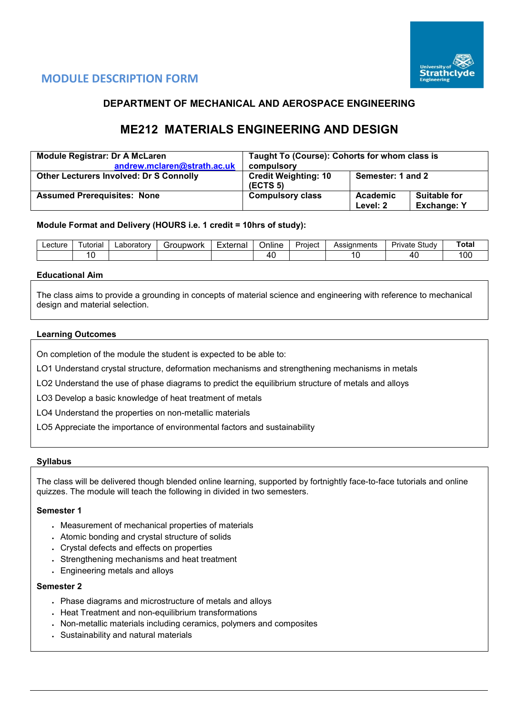

## **MODULE DESCRIPTION FORM**

## **DEPARTMENT OF MECHANICAL AND AEROSPACE ENGINEERING**

# **ME212 MATERIALS ENGINEERING AND DESIGN**

| <b>Module Registrar: Dr A McLaren</b>          | Taught To (Course): Cohorts for whom class is       |                      |                                           |  |  |  |
|------------------------------------------------|-----------------------------------------------------|----------------------|-------------------------------------------|--|--|--|
| andrew.mclaren@strath.ac.uk                    | compulsory                                          |                      |                                           |  |  |  |
| <b>Other Lecturers Involved: Dr S Connolly</b> | <b>Credit Weighting: 10</b><br>(ECTS <sub>5</sub> ) | Semester: 1 and 2    |                                           |  |  |  |
| <b>Assumed Prerequisites: None</b>             | <b>Compulsory class</b>                             | Academic<br>Level: 2 | <b>Suitable for</b><br><b>Exchange: Y</b> |  |  |  |

#### **Module Format and Delivery (HOURS i.e. 1 credit = 10hrs of study):**

| Lecture | utorial        | ∟aboratorv | Groupwork | External | <br>-<br>Online | -<br>Proiect | Assianments | $C+1$<br>ا tud∨<br>Private | Total      |
|---------|----------------|------------|-----------|----------|-----------------|--------------|-------------|----------------------------|------------|
|         | $\overline{ }$ |            |           |          | ୵⊔              |              |             | 40                         | 100<br>∣∪l |

#### **Educational Aim**

The class aims to provide a grounding in concepts of material science and engineering with reference to mechanical design and material selection.

#### **Learning Outcomes**

On completion of the module the student is expected to be able to:

LO1 Understand crystal structure, deformation mechanisms and strengthening mechanisms in metals

LO2 Understand the use of phase diagrams to predict the equilibrium structure of metals and alloys

LO3 Develop a basic knowledge of heat treatment of metals

LO4 Understand the properties on non-metallic materials

LO5 Appreciate the importance of environmental factors and sustainability

#### **Syllabus**

The class will be delivered though blended online learning, supported by fortnightly face-to-face tutorials and online quizzes. The module will teach the following in divided in two semesters.

#### **Semester 1**

- Measurement of mechanical properties of materials
- Atomic bonding and crystal structure of solids
- Crystal defects and effects on properties
- Strengthening mechanisms and heat treatment
- Engineering metals and alloys

#### **Semester 2**

- Phase diagrams and microstructure of metals and alloys
- Heat Treatment and non-equilibrium transformations
- Non-metallic materials including ceramics, polymers and composites
- Sustainability and natural materials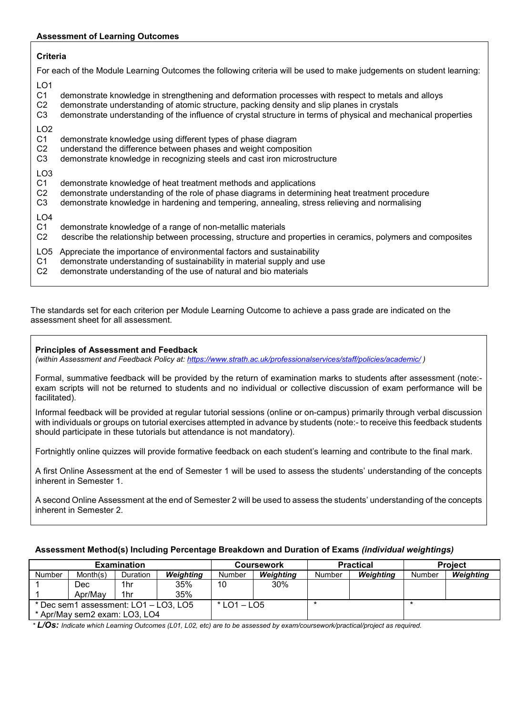#### **Assessment of Learning Outcomes**

#### **Criteria**

For each of the Module Learning Outcomes the following criteria will be used to make judgements on student learning:

LO1

- C1 demonstrate knowledge in strengthening and deformation processes with respect to metals and alloys
- 
- C2 demonstrate understanding of atomic structure, packing density and slip planes in crystals<br>C3 demonstrate understanding of the influence of crystal structure in terms of physical and me demonstrate understanding of the influence of crystal structure in terms of physical and mechanical properties

LO<sub>2</sub><br>C<sub>1</sub>

- demonstrate knowledge using different types of phase diagram
- C2 understand the difference between phases and weight composition
- C3 demonstrate knowledge in recognizing steels and cast iron microstructure

### LO3

- C1 demonstrate knowledge of heat treatment methods and applications
- C2 demonstrate understanding of the role of phase diagrams in determining heat treatment procedure<br>C3 demonstrate knowledge in hardening and tempering, annealing, stress relieving and normalising
- demonstrate knowledge in hardening and tempering, annealing, stress relieving and normalising
- LO4<br>C1
- C1 demonstrate knowledge of a range of non-metallic materials<br>C2 describe the relationship between processing, structure and
- describe the relationship between processing, structure and properties in ceramics, polymers and composites
- LO5 Appreciate the importance of environmental factors and sustainability
- C1 demonstrate understanding of sustainability in material supply and use
- C2 demonstrate understanding of the use of natural and bio materials

The standards set for each criterion per Module Learning Outcome to achieve a pass grade are indicated on the assessment sheet for all assessment.

#### **Principles of Assessment and Feedback**

*(within Assessment and Feedback Policy at: <https://www.strath.ac.uk/professionalservices/staff/policies/academic/> )*

Formal, summative feedback will be provided by the return of examination marks to students after assessment (note: exam scripts will not be returned to students and no individual or collective discussion of exam performance will be facilitated).

Informal feedback will be provided at regular tutorial sessions (online or on-campus) primarily through verbal discussion with individuals or groups on tutorial exercises attempted in advance by students (note:- to receive this feedback students should participate in these tutorials but attendance is not mandatory).

Fortnightly online quizzes will provide formative feedback on each student's learning and contribute to the final mark.

A first Online Assessment at the end of Semester 1 will be used to assess the students' understanding of the concepts inherent in Semester 1.

A second Online Assessment at the end of Semester 2 will be used to assess the students' understanding of the concepts inherent in Semester 2.

|                                       |                               | <b>Examination</b> |               |                            | <b>Coursework</b> |        | <b>Practical</b> | <b>Project</b> |           |  |
|---------------------------------------|-------------------------------|--------------------|---------------|----------------------------|-------------------|--------|------------------|----------------|-----------|--|
| <b>Number</b>                         | Month(s)                      | <b>Duration</b>    | Weighting     | Weighting<br><b>Number</b> |                   | Number | <b>Weighting</b> | Number         | Weighting |  |
|                                       | Dec                           | 1hr                | 35%           | 10                         | 30%               |        |                  |                |           |  |
|                                       | Apr/May                       | 1hr                | 35%           |                            |                   |        |                  |                |           |  |
| * Dec sem1 assessment: LO1 - LO3, LO5 |                               |                    | $*$ LO1 – LO5 |                            |                   |        |                  |                |           |  |
|                                       | * Apr/May sem2 exam: LO3, LO4 |                    |               |                            |                   |        |                  |                |           |  |

#### **Assessment Method(s) Including Percentage Breakdown and Duration of Exams** *(individual weightings)*

*\* L/Os: Indicate which Learning Outcomes (L01, L02, etc) are to be assessed by exam/coursework/practical/project as required.*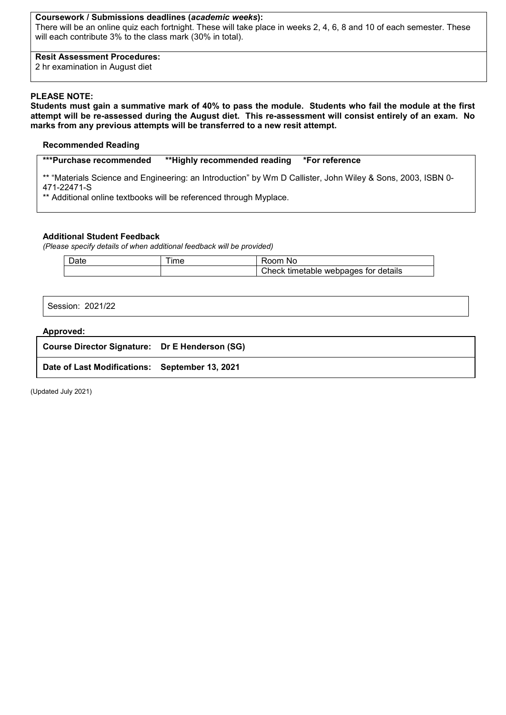#### **Coursework / Submissions deadlines (***academic weeks***):**

There will be an online quiz each fortnight. These will take place in weeks 2, 4, 6, 8 and 10 of each semester. These will each contribute 3% to the class mark (30% in total).

#### **Resit Assessment Procedures:**

2 hr examination in August diet

#### **PLEASE NOTE:**

**Students must gain a summative mark of 40% to pass the module. Students who fail the module at the first attempt will be re-assessed during the August diet. This re-assessment will consist entirely of an exam. No marks from any previous attempts will be transferred to a new resit attempt.**

#### **Recommended Reading**

**\*\*\*Purchase recommended \*\*Highly recommended reading \*For reference**

\*\* "Materials Science and Engineering: an Introduction" by Wm D Callister, John Wiley & Sons, 2003, ISBN 0- 471-22471-S

\*\* Additional online textbooks will be referenced through Myplace.

#### **Additional Student Feedback**

*(Please specify details of when additional feedback will be provided)*

| <b>Ime</b> | nnm<br>Nc                               |
|------------|-----------------------------------------|
|            | webpages for details<br>Check timetable |

Session: 2021/22

#### **Approved:**

| Course Director Signature: Dr E Henderson (SG) |  |
|------------------------------------------------|--|
| Date of Last Modifications: September 13, 2021 |  |

(Updated July 2021)